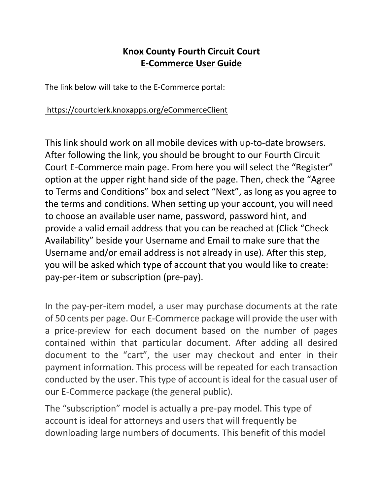## **Knox County Fourth Circuit Court E-Commerce User Guide**

The link below will take to the E-Commerce portal:

## https://courtclerk.knoxapps.org/eCommerceClient

This link should work on all mobile devices with up-to-date browsers. After following the link, you should be brought to our Fourth Circuit Court E-Commerce main page. From here you will select the "Register" option at the upper right hand side of the page. Then, check the "Agree to Terms and Conditions" box and select "Next", as long as you agree to the terms and conditions. When setting up your account, you will need to choose an available user name, password, password hint, and provide a valid email address that you can be reached at (Click "Check Availability" beside your Username and Email to make sure that the Username and/or email address is not already in use). After this step, you will be asked which type of account that you would like to create: pay-per-item or subscription (pre-pay).

In the pay-per-item model, a user may purchase documents at the rate of 50 cents per page. Our E-Commerce package will provide the user with a price-preview for each document based on the number of pages contained within that particular document. After adding all desired document to the "cart", the user may checkout and enter in their payment information. This process will be repeated for each transaction conducted by the user. This type of account is ideal for the casual user of our E-Commerce package (the general public).

The "subscription" model is actually a pre-pay model. This type of account is ideal for attorneys and users that will frequently be downloading large numbers of documents. This benefit of this model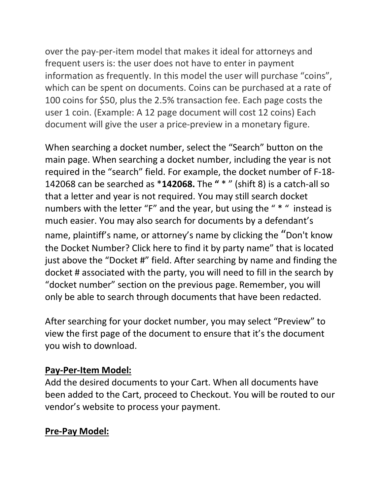over the pay-per-item model that makes it ideal for attorneys and frequent users is: the user does not have to enter in payment information as frequently. In this model the user will purchase "coins", which can be spent on documents. Coins can be purchased at a rate of 100 coins for \$50, plus the 2.5% transaction fee. Each page costs the user 1 coin. (Example: A 12 page document will cost 12 coins) Each document will give the user a price-preview in a monetary figure.

When searching a docket number, select the "Search" button on the main page. When searching a docket number, including the year is not required in the "search" field. For example, the docket number of F-18- 142068 can be searched as \***142068.** The **"** \* " (shift 8) is a catch-all so that a letter and year is not required. You may still search docket numbers with the letter "F" and the year, but using the " \* " instead is much easier. You may also search for documents by a defendant's name, plaintiff's name, or attorney's name by clicking the "Don't know the Docket Number? Click here to find it by party name" that is located just above the "Docket #" field. After searching by name and finding the docket # associated with the party, you will need to fill in the search by "docket number" section on the previous page. Remember, you will only be able to search through documents that have been redacted.

After searching for your docket number, you may select "Preview" to view the first page of the document to ensure that it's the document you wish to download.

## **Pay-Per-Item Model:**

Add the desired documents to your Cart. When all documents have been added to the Cart, proceed to Checkout. You will be routed to our vendor's website to process your payment.

## **Pre-Pay Model:**